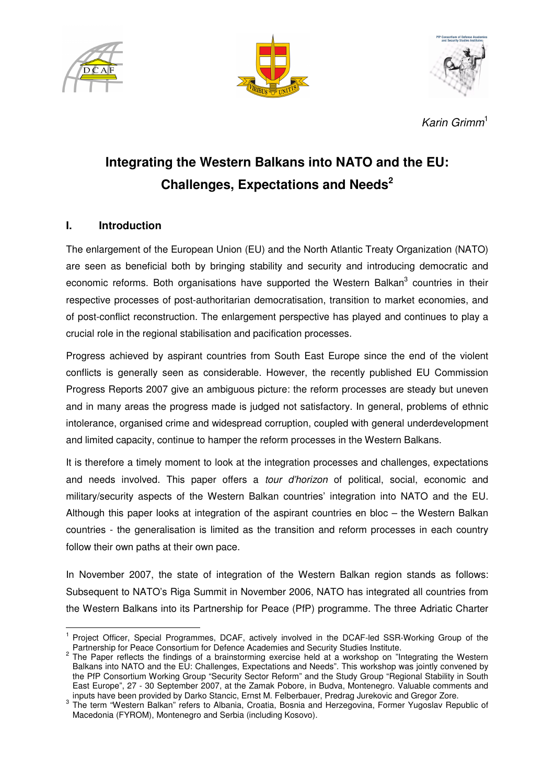





Karin Grimm<sup>1</sup>

# **Integrating the Western Balkans into NATO and the EU: Challenges, Expectations and Needs<sup>2</sup>**

# **I. Introduction**

l.

The enlargement of the European Union (EU) and the North Atlantic Treaty Organization (NATO) are seen as beneficial both by bringing stability and security and introducing democratic and economic reforms. Both organisations have supported the Western Balkan<sup>3</sup> countries in their respective processes of post-authoritarian democratisation, transition to market economies, and of post-conflict reconstruction. The enlargement perspective has played and continues to play a crucial role in the regional stabilisation and pacification processes.

Progress achieved by aspirant countries from South East Europe since the end of the violent conflicts is generally seen as considerable. However, the recently published EU Commission Progress Reports 2007 give an ambiguous picture: the reform processes are steady but uneven and in many areas the progress made is judged not satisfactory. In general, problems of ethnic intolerance, organised crime and widespread corruption, coupled with general underdevelopment and limited capacity, continue to hamper the reform processes in the Western Balkans.

It is therefore a timely moment to look at the integration processes and challenges, expectations and needs involved. This paper offers a tour d'horizon of political, social, economic and military/security aspects of the Western Balkan countries' integration into NATO and the EU. Although this paper looks at integration of the aspirant countries en bloc – the Western Balkan countries - the generalisation is limited as the transition and reform processes in each country follow their own paths at their own pace.

In November 2007, the state of integration of the Western Balkan region stands as follows: Subsequent to NATO's Riga Summit in November 2006, NATO has integrated all countries from the Western Balkans into its Partnership for Peace (PfP) programme. The three Adriatic Charter

<sup>&</sup>lt;sup>1</sup> Project Officer, Special Programmes, DCAF, actively involved in the DCAF-led SSR-Working Group of the Partnership for Peace Consortium for Defence Academies and Security Studies Institute.

<sup>&</sup>lt;sup>2</sup> The Paper reflects the findings of a brainstorming exercise held at a workshop on "Integrating the Western Balkans into NATO and the EU: Challenges, Expectations and Needs". This workshop was jointly convened by the PfP Consortium Working Group "Security Sector Reform" and the Study Group "Regional Stability in South East Europe", 27 - 30 September 2007, at the Zamak Pobore, in Budva, Montenegro. Valuable comments and inputs have been provided by Darko Stancic, Ernst M. Felberbauer, Predrag Jurekovic and Gregor Zore.

<sup>&</sup>lt;sup>3</sup> The term "Western Balkan" refers to Albania, Croatia, Bosnia and Herzegovina, Former Yugoslav Republic of Macedonia (FYROM), Montenegro and Serbia (including Kosovo).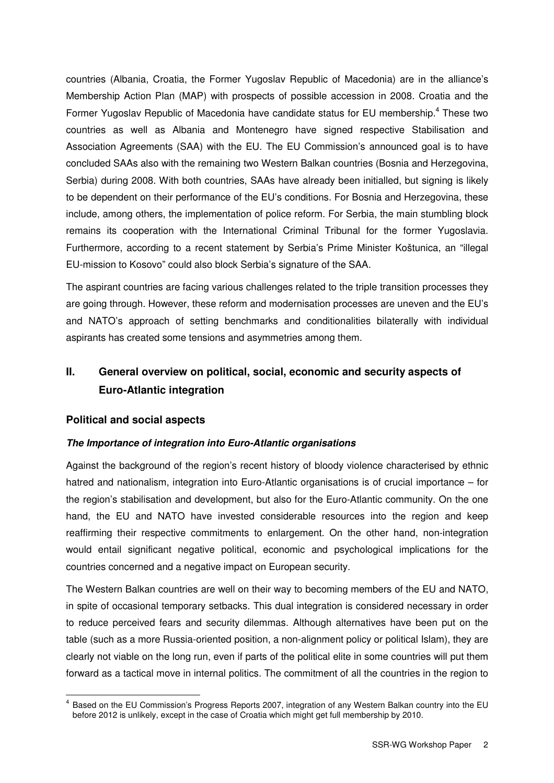countries (Albania, Croatia, the Former Yugoslav Republic of Macedonia) are in the alliance's Membership Action Plan (MAP) with prospects of possible accession in 2008. Croatia and the Former Yugoslav Republic of Macedonia have candidate status for EU membership.<sup>4</sup> These two countries as well as Albania and Montenegro have signed respective Stabilisation and Association Agreements (SAA) with the EU. The EU Commission's announced goal is to have concluded SAAs also with the remaining two Western Balkan countries (Bosnia and Herzegovina, Serbia) during 2008. With both countries, SAAs have already been initialled, but signing is likely to be dependent on their performance of the EU's conditions. For Bosnia and Herzegovina, these include, among others, the implementation of police reform. For Serbia, the main stumbling block remains its cooperation with the International Criminal Tribunal for the former Yugoslavia. Furthermore, according to a recent statement by Serbia's Prime Minister Koštunica, an "illegal EU-mission to Kosovo" could also block Serbia's signature of the SAA.

The aspirant countries are facing various challenges related to the triple transition processes they are going through. However, these reform and modernisation processes are uneven and the EU's and NATO's approach of setting benchmarks and conditionalities bilaterally with individual aspirants has created some tensions and asymmetries among them.

# **II. General overview on political, social, economic and security aspects of Euro-Atlantic integration**

# **Political and social aspects**

l.

# **The Importance of integration into Euro-Atlantic organisations**

Against the background of the region's recent history of bloody violence characterised by ethnic hatred and nationalism, integration into Euro-Atlantic organisations is of crucial importance – for the region's stabilisation and development, but also for the Euro-Atlantic community. On the one hand, the EU and NATO have invested considerable resources into the region and keep reaffirming their respective commitments to enlargement. On the other hand, non-integration would entail significant negative political, economic and psychological implications for the countries concerned and a negative impact on European security.

The Western Balkan countries are well on their way to becoming members of the EU and NATO, in spite of occasional temporary setbacks. This dual integration is considered necessary in order to reduce perceived fears and security dilemmas. Although alternatives have been put on the table (such as a more Russia-oriented position, a non-alignment policy or political Islam), they are clearly not viable on the long run, even if parts of the political elite in some countries will put them forward as a tactical move in internal politics. The commitment of all the countries in the region to

<sup>4</sup> Based on the EU Commission's Progress Reports 2007, integration of any Western Balkan country into the EU before 2012 is unlikely, except in the case of Croatia which might get full membership by 2010.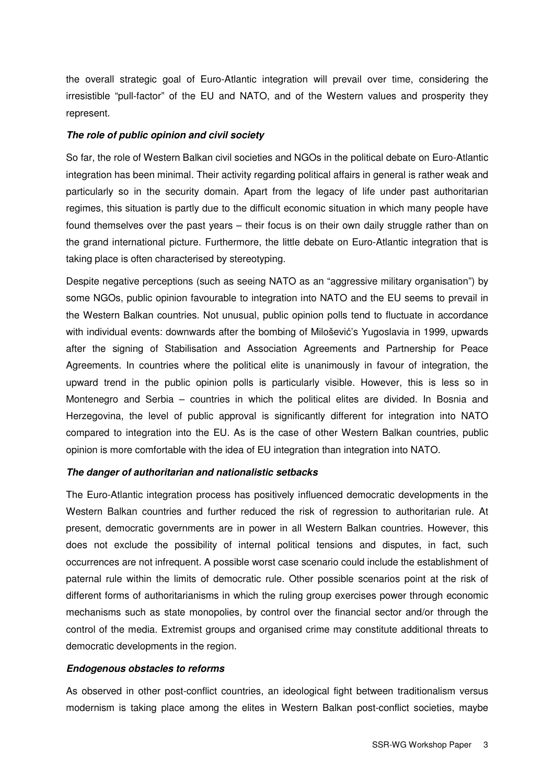the overall strategic goal of Euro-Atlantic integration will prevail over time, considering the irresistible "pull-factor" of the EU and NATO, and of the Western values and prosperity they represent.

#### **The role of public opinion and civil society**

So far, the role of Western Balkan civil societies and NGOs in the political debate on Euro-Atlantic integration has been minimal. Their activity regarding political affairs in general is rather weak and particularly so in the security domain. Apart from the legacy of life under past authoritarian regimes, this situation is partly due to the difficult economic situation in which many people have found themselves over the past years – their focus is on their own daily struggle rather than on the grand international picture. Furthermore, the little debate on Euro-Atlantic integration that is taking place is often characterised by stereotyping.

Despite negative perceptions (such as seeing NATO as an "aggressive military organisation") by some NGOs, public opinion favourable to integration into NATO and the EU seems to prevail in the Western Balkan countries. Not unusual, public opinion polls tend to fluctuate in accordance with individual events: downwards after the bombing of Milošević's Yugoslavia in 1999, upwards after the signing of Stabilisation and Association Agreements and Partnership for Peace Agreements. In countries where the political elite is unanimously in favour of integration, the upward trend in the public opinion polls is particularly visible. However, this is less so in Montenegro and Serbia – countries in which the political elites are divided. In Bosnia and Herzegovina, the level of public approval is significantly different for integration into NATO compared to integration into the EU. As is the case of other Western Balkan countries, public opinion is more comfortable with the idea of EU integration than integration into NATO.

#### **The danger of authoritarian and nationalistic setbacks**

The Euro-Atlantic integration process has positively influenced democratic developments in the Western Balkan countries and further reduced the risk of regression to authoritarian rule. At present, democratic governments are in power in all Western Balkan countries. However, this does not exclude the possibility of internal political tensions and disputes, in fact, such occurrences are not infrequent. A possible worst case scenario could include the establishment of paternal rule within the limits of democratic rule. Other possible scenarios point at the risk of different forms of authoritarianisms in which the ruling group exercises power through economic mechanisms such as state monopolies, by control over the financial sector and/or through the control of the media. Extremist groups and organised crime may constitute additional threats to democratic developments in the region.

#### **Endogenous obstacles to reforms**

As observed in other post-conflict countries, an ideological fight between traditionalism versus modernism is taking place among the elites in Western Balkan post-conflict societies, maybe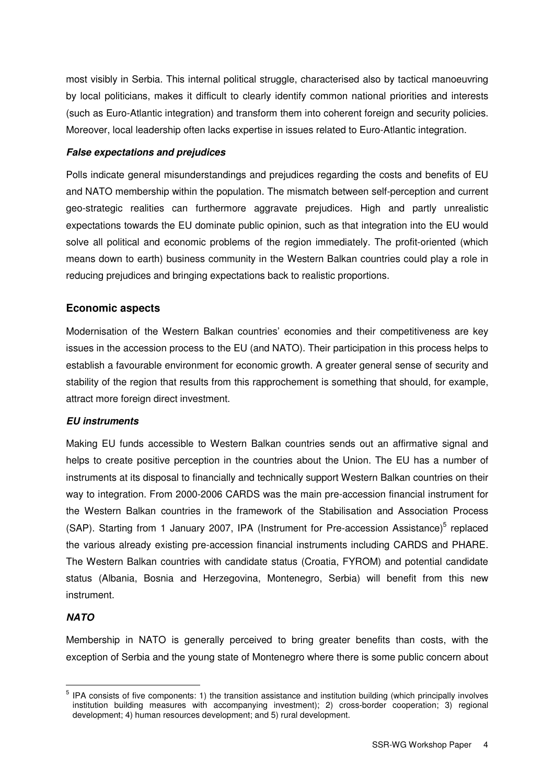most visibly in Serbia. This internal political struggle, characterised also by tactical manoeuvring by local politicians, makes it difficult to clearly identify common national priorities and interests (such as Euro-Atlantic integration) and transform them into coherent foreign and security policies. Moreover, local leadership often lacks expertise in issues related to Euro-Atlantic integration.

## **False expectations and prejudices**

Polls indicate general misunderstandings and prejudices regarding the costs and benefits of EU and NATO membership within the population. The mismatch between self-perception and current geo-strategic realities can furthermore aggravate prejudices. High and partly unrealistic expectations towards the EU dominate public opinion, such as that integration into the EU would solve all political and economic problems of the region immediately. The profit-oriented (which means down to earth) business community in the Western Balkan countries could play a role in reducing prejudices and bringing expectations back to realistic proportions.

# **Economic aspects**

Modernisation of the Western Balkan countries' economies and their competitiveness are key issues in the accession process to the EU (and NATO). Their participation in this process helps to establish a favourable environment for economic growth. A greater general sense of security and stability of the region that results from this rapprochement is something that should, for example, attract more foreign direct investment.

# **EU instruments**

Making EU funds accessible to Western Balkan countries sends out an affirmative signal and helps to create positive perception in the countries about the Union. The EU has a number of instruments at its disposal to financially and technically support Western Balkan countries on their way to integration. From 2000-2006 CARDS was the main pre-accession financial instrument for the Western Balkan countries in the framework of the Stabilisation and Association Process (SAP). Starting from 1 January 2007, IPA (Instrument for Pre-accession Assistance)<sup>5</sup> replaced the various already existing pre-accession financial instruments including CARDS and PHARE. The Western Balkan countries with candidate status (Croatia, FYROM) and potential candidate status (Albania, Bosnia and Herzegovina, Montenegro, Serbia) will benefit from this new instrument.

# **NATO**

l.

Membership in NATO is generally perceived to bring greater benefits than costs, with the exception of Serbia and the young state of Montenegro where there is some public concern about

<sup>&</sup>lt;sup>5</sup> IPA consists of five components: 1) the transition assistance and institution building (which principally involves institution building measures with accompanying investment); 2) cross-border cooperation; 3) regional development; 4) human resources development; and 5) rural development.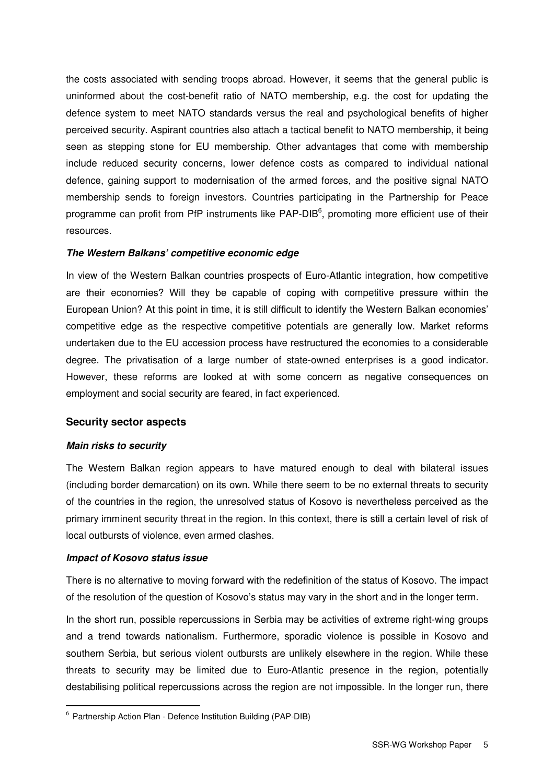the costs associated with sending troops abroad. However, it seems that the general public is uninformed about the cost-benefit ratio of NATO membership, e.g. the cost for updating the defence system to meet NATO standards versus the real and psychological benefits of higher perceived security. Aspirant countries also attach a tactical benefit to NATO membership, it being seen as stepping stone for EU membership. Other advantages that come with membership include reduced security concerns, lower defence costs as compared to individual national defence, gaining support to modernisation of the armed forces, and the positive signal NATO membership sends to foreign investors. Countries participating in the Partnership for Peace programme can profit from PfP instruments like PAP-DIB<sup>6</sup>, promoting more efficient use of their resources.

#### **The Western Balkans' competitive economic edge**

In view of the Western Balkan countries prospects of Euro-Atlantic integration, how competitive are their economies? Will they be capable of coping with competitive pressure within the European Union? At this point in time, it is still difficult to identify the Western Balkan economies' competitive edge as the respective competitive potentials are generally low. Market reforms undertaken due to the EU accession process have restructured the economies to a considerable degree. The privatisation of a large number of state-owned enterprises is a good indicator. However, these reforms are looked at with some concern as negative consequences on employment and social security are feared, in fact experienced.

#### **Security sector aspects**

#### **Main risks to security**

The Western Balkan region appears to have matured enough to deal with bilateral issues (including border demarcation) on its own. While there seem to be no external threats to security of the countries in the region, the unresolved status of Kosovo is nevertheless perceived as the primary imminent security threat in the region. In this context, there is still a certain level of risk of local outbursts of violence, even armed clashes.

#### **Impact of Kosovo status issue**

l.

There is no alternative to moving forward with the redefinition of the status of Kosovo. The impact of the resolution of the question of Kosovo's status may vary in the short and in the longer term.

In the short run, possible repercussions in Serbia may be activities of extreme right-wing groups and a trend towards nationalism. Furthermore, sporadic violence is possible in Kosovo and southern Serbia, but serious violent outbursts are unlikely elsewhere in the region. While these threats to security may be limited due to Euro-Atlantic presence in the region, potentially destabilising political repercussions across the region are not impossible. In the longer run, there

<sup>&</sup>lt;sup>6</sup> Partnership Action Plan - Defence Institution Building (PAP-DIB)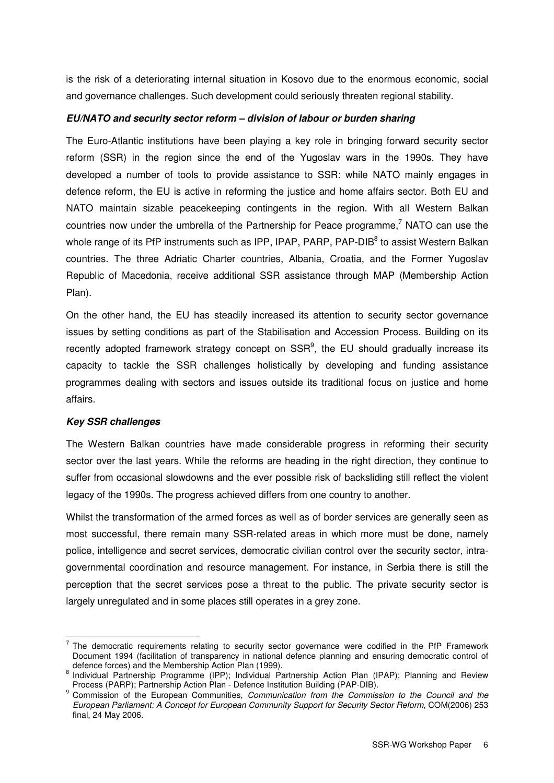is the risk of a deteriorating internal situation in Kosovo due to the enormous economic, social and governance challenges. Such development could seriously threaten regional stability.

#### **EU/NATO and security sector reform – division of labour or burden sharing**

The Euro-Atlantic institutions have been playing a key role in bringing forward security sector reform (SSR) in the region since the end of the Yugoslav wars in the 1990s. They have developed a number of tools to provide assistance to SSR: while NATO mainly engages in defence reform, the EU is active in reforming the justice and home affairs sector. Both EU and NATO maintain sizable peacekeeping contingents in the region. With all Western Balkan countries now under the umbrella of the Partnership for Peace programme,<sup>7</sup> NATO can use the whole range of its PfP instruments such as IPP, IPAP, PARP, PAP-DIB<sup>8</sup> to assist Western Balkan countries. The three Adriatic Charter countries, Albania, Croatia, and the Former Yugoslav Republic of Macedonia, receive additional SSR assistance through MAP (Membership Action Plan).

On the other hand, the EU has steadily increased its attention to security sector governance issues by setting conditions as part of the Stabilisation and Accession Process. Building on its recently adopted framework strategy concept on  $SSR<sup>9</sup>$ , the EU should gradually increase its capacity to tackle the SSR challenges holistically by developing and funding assistance programmes dealing with sectors and issues outside its traditional focus on justice and home affairs.

# **Key SSR challenges**

 $\overline{a}$ 

The Western Balkan countries have made considerable progress in reforming their security sector over the last years. While the reforms are heading in the right direction, they continue to suffer from occasional slowdowns and the ever possible risk of backsliding still reflect the violent legacy of the 1990s. The progress achieved differs from one country to another.

Whilst the transformation of the armed forces as well as of border services are generally seen as most successful, there remain many SSR-related areas in which more must be done, namely police, intelligence and secret services, democratic civilian control over the security sector, intragovernmental coordination and resource management. For instance, in Serbia there is still the perception that the secret services pose a threat to the public. The private security sector is largely unregulated and in some places still operates in a grey zone.

<sup>7</sup> The democratic requirements relating to security sector governance were codified in the PfP Framework Document 1994 (facilitation of transparency in national defence planning and ensuring democratic control of defence forces) and the Membership Action Plan (1999).

<sup>&</sup>lt;sup>8</sup> Individual Partnership Programme (IPP); Individual Partnership Action Plan (IPAP); Planning and Review Process (PARP); Partnership Action Plan - Defence Institution Building (PAP-DIB).

<sup>&</sup>lt;sup>9</sup> Commission of the European Communities, Communication from the Commission to the Council and the European Parliament: A Concept for European Community Support for Security Sector Reform, COM(2006) 253 final, 24 May 2006.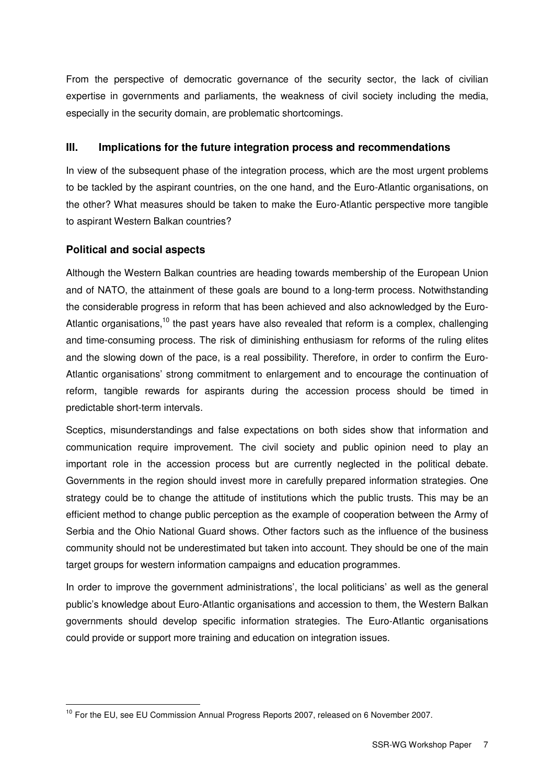From the perspective of democratic governance of the security sector, the lack of civilian expertise in governments and parliaments, the weakness of civil society including the media, especially in the security domain, are problematic shortcomings.

# **III. Implications for the future integration process and recommendations**

In view of the subsequent phase of the integration process, which are the most urgent problems to be tackled by the aspirant countries, on the one hand, and the Euro-Atlantic organisations, on the other? What measures should be taken to make the Euro-Atlantic perspective more tangible to aspirant Western Balkan countries?

# **Political and social aspects**

l.

Although the Western Balkan countries are heading towards membership of the European Union and of NATO, the attainment of these goals are bound to a long-term process. Notwithstanding the considerable progress in reform that has been achieved and also acknowledged by the Euro-Atlantic organisations.<sup>10</sup> the past years have also revealed that reform is a complex, challenging and time-consuming process. The risk of diminishing enthusiasm for reforms of the ruling elites and the slowing down of the pace, is a real possibility. Therefore, in order to confirm the Euro-Atlantic organisations' strong commitment to enlargement and to encourage the continuation of reform, tangible rewards for aspirants during the accession process should be timed in predictable short-term intervals.

Sceptics, misunderstandings and false expectations on both sides show that information and communication require improvement. The civil society and public opinion need to play an important role in the accession process but are currently neglected in the political debate. Governments in the region should invest more in carefully prepared information strategies. One strategy could be to change the attitude of institutions which the public trusts. This may be an efficient method to change public perception as the example of cooperation between the Army of Serbia and the Ohio National Guard shows. Other factors such as the influence of the business community should not be underestimated but taken into account. They should be one of the main target groups for western information campaigns and education programmes.

In order to improve the government administrations', the local politicians' as well as the general public's knowledge about Euro-Atlantic organisations and accession to them, the Western Balkan governments should develop specific information strategies. The Euro-Atlantic organisations could provide or support more training and education on integration issues.

<sup>&</sup>lt;sup>10</sup> For the EU, see EU Commission Annual Progress Reports 2007, released on 6 November 2007.